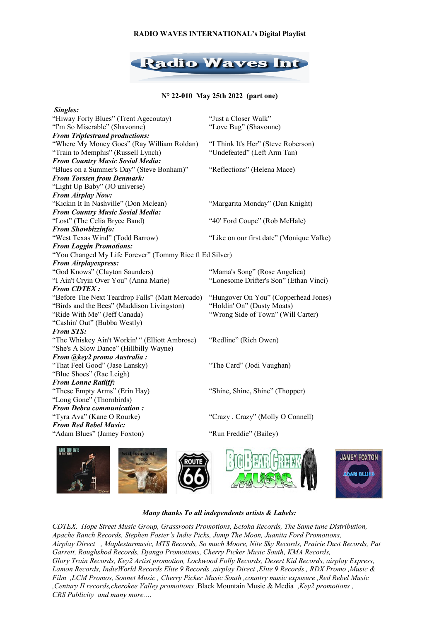### **RADIO WAVES INTERNATIONAL's Digital Playlist**



## **N° 22-010 May 25th 2022 (part one)**

| Singles:                                                |                                          |
|---------------------------------------------------------|------------------------------------------|
| "Hiway Forty Blues" (Trent Agecoutay)                   | "Just a Closer Walk"                     |
| "I'm So Miserable" (Shavonne)                           | "Love Bug" (Shavonne)                    |
| <b>From Triplestrand productions:</b>                   |                                          |
| "Where My Money Goes" (Ray William Roldan)              | "I Think It's Her" (Steve Roberson)      |
| "Train to Memphis" (Russell Lynch)                      | "Undefeated" (Left Arm Tan)              |
| <b>From Country Music Sosial Media:</b>                 |                                          |
| "Blues on a Summer's Day" (Steve Bonham)"               | "Reflections" (Helena Mace)              |
| <b>From Torsten from Denmark:</b>                       |                                          |
| "Light Up Baby" (JO universe)                           |                                          |
| <b>From Airplay Now:</b>                                |                                          |
| "Kickin It In Nashville" (Don Mclean)                   | "Margarita Monday" (Dan Knight)          |
| <b>From Country Music Sosial Media:</b>                 |                                          |
| "Lost" (The Celia Bryce Band)                           | "40' Ford Coupe" (Rob McHale)            |
| From Showbizzinfo:                                      |                                          |
| "West Texas Wind" (Todd Barrow)                         | "Like on our first date" (Monique Valke) |
| <b>From Loggin Promotions:</b>                          |                                          |
| "You Changed My Life Forever" (Tommy Rice ft Ed Silver) |                                          |
| <b>From Airplayexpress:</b>                             |                                          |
| "God Knows" (Clayton Saunders)                          | "Mama's Song" (Rose Angelica)            |
| "I Ain't Cryin Over You" (Anna Marie)                   | "Lonesome Drifter's Son" (Ethan Vinci)   |
| <b>From CDTEX:</b>                                      |                                          |
| "Before The Next Teardrop Falls" (Matt Mercado)         | "Hungover On You" (Copperhead Jones)     |
| "Birds and the Bees" (Maddison Livingston)              | "Holdin' On" (Dusty Moats)               |
| "Ride With Me" (Jeff Canada)                            | "Wrong Side of Town" (Will Carter)       |
| "Cashin' Out" (Bubba Westly)                            |                                          |
| <b>From STS:</b>                                        |                                          |
| "The Whiskey Ain't Workin' " (Elliott Ambrose)          | "Redline" (Rich Owen)                    |
| "She's A Slow Dance" (Hillbilly Wayne)                  |                                          |
| From @key2 promo Australia:                             |                                          |
| "That Feel Good" (Jase Lansky)                          | "The Card" (Jodi Vaughan)                |
| "Blue Shoes" (Rae Leigh)                                |                                          |
| <b>From Lonne Ratliff:</b>                              |                                          |
| "These Empty Arms" (Erin Hay)                           | "Shine, Shine, Shine" (Thopper)          |
| "Long Gone" (Thornbirds)                                |                                          |
| <b>From Debra communication:</b>                        |                                          |
| "Tyra Ava" (Kane O Rourke)                              | "Crazy, Crazy" (Molly O Connell)         |
| <b>From Red Rebel Music:</b>                            |                                          |
| "Adam Blues" (Jamey Foxton)                             | "Run Freddie" (Bailey)                   |
|                                                         |                                          |





# *Many thanks To all independents artists & Labels:*

*CDTEX, Hope Street Music Group, Grassroots Promotions, Ectoha Records, The Same tune Distribution, Apache Ranch Records, Stephen Foster's Indie Picks, Jump The Moon, Juanita Ford Promotions, Airplay Direct , Maplestarmusic, MTS Records, So much Moore, Nite Sky Records, Prairie Dust Records, Pat Garrett, Roughshod Records, Django Promotions, Cherry Picker Music South, KMA Records, Glory Train Records, Key2 Artist promotion, Lockwood Folly Records, Desert Kid Records, airplay Express, Lamon Records, IndieWorld Records Elite 9 Records ,airplay Direct ,Elite 9 Records , RDX Promo ,Music & Film ,LCM Promos, Sonnet Music , Cherry Picker Music South ,country music exposure ,Red Rebel Music ,Century II records,cherokee Valley promotions ,*Black Mountain Music & Media ,*Key2 promotions , CRS Publicity and many more.…*